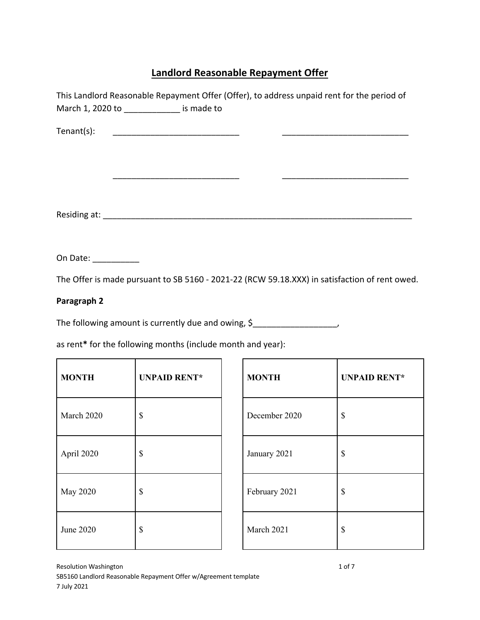# **Landlord Reasonable Repayment Offer**

|                                                             | March 1, 2020 to ______________ is made to                  |  | This Landlord Reasonable Repayment Offer (Offer), to address unpaid rent for the period of    |                     |  |
|-------------------------------------------------------------|-------------------------------------------------------------|--|-----------------------------------------------------------------------------------------------|---------------------|--|
| Tenant(s):                                                  |                                                             |  |                                                                                               |                     |  |
|                                                             | <u> 1989 - Johann Barbara, martxa al III-lea (h. 1989).</u> |  |                                                                                               |                     |  |
|                                                             |                                                             |  |                                                                                               |                     |  |
|                                                             |                                                             |  |                                                                                               |                     |  |
| On Date: __________                                         |                                                             |  |                                                                                               |                     |  |
|                                                             |                                                             |  | The Offer is made pursuant to SB 5160 - 2021-22 (RCW 59.18.XXX) in satisfaction of rent owed. |                     |  |
| Paragraph 2                                                 |                                                             |  |                                                                                               |                     |  |
|                                                             |                                                             |  | The following amount is currently due and owing, \$                                           |                     |  |
| as rent* for the following months (include month and year): |                                                             |  |                                                                                               |                     |  |
| <b>MONTH</b>                                                | <b>UNPAID RENT*</b>                                         |  | <b>MONTH</b>                                                                                  | <b>UNPAID RENT*</b> |  |
| March 2020                                                  | \$                                                          |  | December 2020                                                                                 | \$                  |  |

| March 2020 | \$ | December 2020 | \$ |
|------------|----|---------------|----|
| April 2020 | \$ | January 2021  | \$ |
| May 2020   | \$ | February 2021 | \$ |
| June 2020  | \$ | March 2021    | \$ |

| <b>MONTH</b>  | <b>UNPAID RENT*</b> |
|---------------|---------------------|
| December 2020 | \$                  |
| January 2021  | \$                  |
| February 2021 | \$                  |
| March 2021    | \$                  |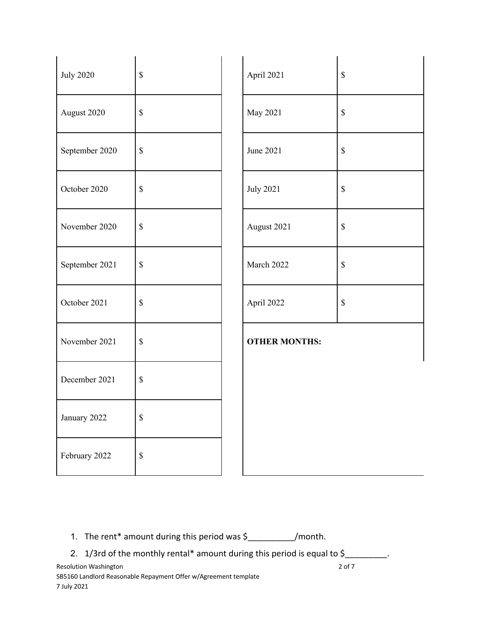| <b>July 2020</b> | $\mathbb S$               | April 2021           | $\mathbb S$ |
|------------------|---------------------------|----------------------|-------------|
| August 2020      | $\mathbb S$               | May 2021             | $\mathbb S$ |
| September 2020   | $\mathbb S$               | June 2021            | $\mathbb S$ |
| October 2020     | $\$$                      | <b>July 2021</b>     | $\mathbb S$ |
| November 2020    | $\mathbb S$               | August 2021          | $\mathbb S$ |
| September 2021   | $\mathbb S$               | March 2022           | $\mathbb S$ |
| October 2021     | $\$$                      | April 2022           | $\mathbb S$ |
| November 2021    | $\mathbb S$               | <b>OTHER MONTHS:</b> |             |
| December 2021    | $\mathbb S$               |                      |             |
| January 2022     | $\boldsymbol{\mathsf{S}}$ |                      |             |
| February 2022    | $\boldsymbol{\mathsf{S}}$ |                      |             |

- 1. The rent\* amount during this period was \$\_\_\_\_\_\_\_\_\_\_/month.
- 2. 1/3rd of the monthly rental\* amount during this period is equal to \$\_\_\_\_\_\_\_\_\_.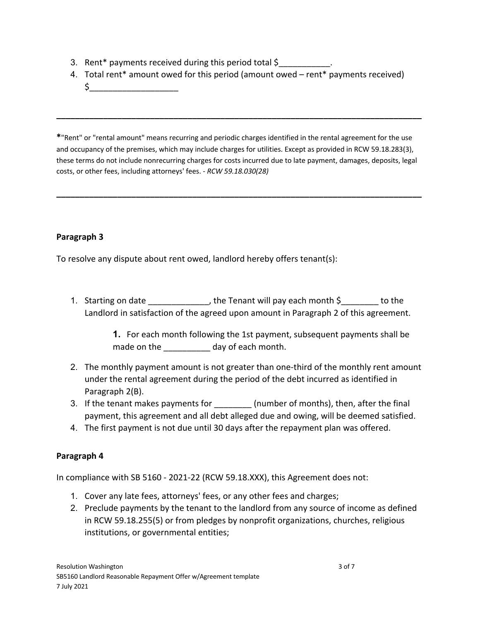- 3. Rent\* payments received during this period total \$\_\_\_\_\_\_\_\_\_\_\_.
- 4. Total rent\* amount owed for this period (amount owed rent\* payments received)

**\_\_\_\_\_\_\_\_\_\_\_\_\_\_\_\_\_\_\_\_\_\_\_\_\_\_\_\_\_\_\_\_\_\_\_\_\_\_\_\_\_\_\_\_\_\_\_\_\_\_\_\_\_\_\_\_\_\_\_\_\_\_\_\_\_\_\_\_\_\_\_\_\_\_\_\_\_\_**

 $\zeta_-$ 

**\***"Rent" or "rental amount" means recurring and periodic charges identified in the rental agreement for the use and occupancy of the premises, which may include charges for utilities. Except as provided in RCW 59.18.283(3), these terms do not include nonrecurring charges for costs incurred due to late payment, damages, deposits, legal costs, or other fees, including attorneys' fees. - *RCW 59.18.030(28)*

**\_\_\_\_\_\_\_\_\_\_\_\_\_\_\_\_\_\_\_\_\_\_\_\_\_\_\_\_\_\_\_\_\_\_\_\_\_\_\_\_\_\_\_\_\_\_\_\_\_\_\_\_\_\_\_\_\_\_\_\_\_\_\_\_\_\_\_\_\_\_\_\_\_\_\_\_\_\_**

# **Paragraph 3**

To resolve any dispute about rent owed, landlord hereby offers tenant(s):

1. Starting on date the state of the Tenant will pay each month \$ Tenting on date Landlord in satisfaction of the agreed upon amount in Paragraph 2 of this agreement.

> **1.** For each month following the 1st payment, subsequent payments shall be made on the day of each month.

- 2. The monthly payment amount is not greater than one-third of the monthly rent amount under the rental agreement during the period of the debt incurred as identified in Paragraph 2(B).
- 3. If the tenant makes payments for **the sumber of months**), then, after the final payment, this agreement and all debt alleged due and owing, will be deemed satisfied.
- 4. The first payment is not due until 30 days after the repayment plan was offered.

### **Paragraph 4**

In compliance with SB 5160 - 2021-22 (RCW 59.18.XXX), this Agreement does not:

- 1. Cover any late fees, attorneys' fees, or any other fees and charges;
- 2. Preclude payments by the tenant to the landlord from any source of income as defined in RCW 59.18.255(5) or from pledges by nonprofit organizations, churches, religious institutions, or governmental entities;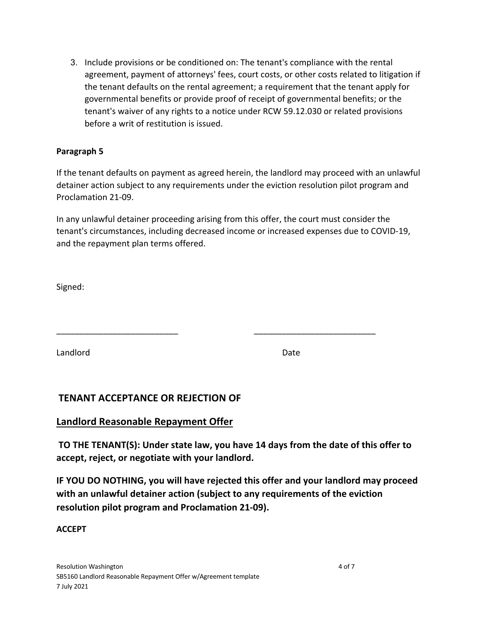3. Include provisions or be conditioned on: The tenant's compliance with the rental agreement, payment of attorneys' fees, court costs, or other costs related to litigation if the tenant defaults on the rental agreement; a requirement that the tenant apply for governmental benefits or provide proof of receipt of governmental benefits; or the tenant's waiver of any rights to a notice under RCW 59.12.030 or related provisions before a writ of restitution is issued.

# **Paragraph 5**

If the tenant defaults on payment as agreed herein, the landlord may proceed with an unlawful detainer action subject to any requirements under the eviction resolution pilot program and Proclamation 21-09.

In any unlawful detainer proceeding arising from this offer, the court must consider the tenant's circumstances, including decreased income or increased expenses due to COVID-19, and the repayment plan terms offered.

\_\_\_\_\_\_\_\_\_\_\_\_\_\_\_\_\_\_\_\_\_\_\_\_\_\_ \_\_\_\_\_\_\_\_\_\_\_\_\_\_\_\_\_\_\_\_\_\_\_\_\_\_

Signed:

Landlord Date

# **TENANT ACCEPTANCE OR REJECTION OF**

# **Landlord Reasonable Repayment Offer**

**TO THE TENANT(S): Under state law, you have 14 days from the date of this offer to accept, reject, or negotiate with your landlord.**

**IF YOU DO NOTHING, you will have rejected this offer and your landlord may proceed with an unlawful detainer action (subject to any requirements of the eviction resolution pilot program and Proclamation 21-09).**

### **ACCEPT**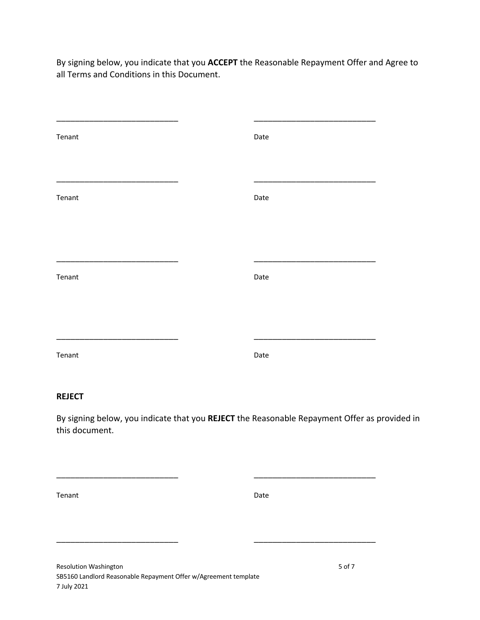By signing below, you indicate that you **ACCEPT** the Reasonable Repayment Offer and Agree to all Terms and Conditions in this Document.

| Tenant | Date |
|--------|------|
|        |      |
|        |      |
| Tenant | Date |
|        |      |
|        |      |
| Tenant | Date |
|        |      |
|        |      |
| Tenant | Date |
|        |      |

#### **REJECT**

By signing below, you indicate that you **REJECT** the Reasonable Repayment Offer as provided in this document.

\_\_\_\_\_\_\_\_\_\_\_\_\_\_\_\_\_\_\_\_\_\_\_\_\_\_ \_\_\_\_\_\_\_\_\_\_\_\_\_\_\_\_\_\_\_\_\_\_\_\_\_\_

\_\_\_\_\_\_\_\_\_\_\_\_\_\_\_\_\_\_\_\_\_\_\_\_\_\_ \_\_\_\_\_\_\_\_\_\_\_\_\_\_\_\_\_\_\_\_\_\_\_\_\_\_

Tenant Date and Date Date Date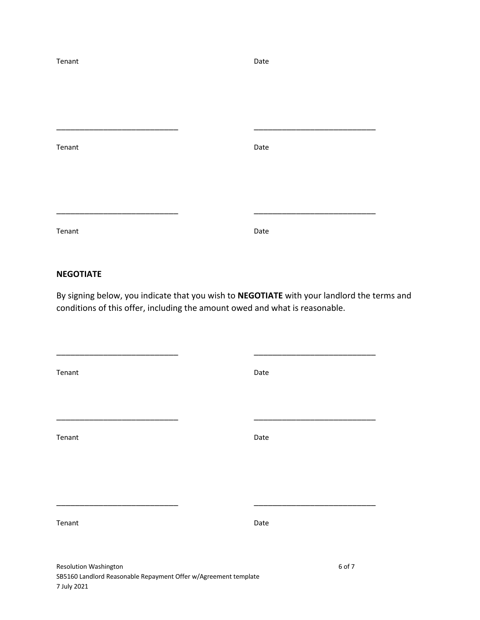| Tenant | Date |
|--------|------|
|        |      |
|        |      |
|        |      |
| Tenant | Date |
|        |      |
|        |      |
|        |      |
| Tenant | Date |

#### **NEGOTIATE**

By signing below, you indicate that you wish to **NEGOTIATE** with your landlord the terms and conditions of this offer, including the amount owed and what is reasonable.

| Tenant | Date |
|--------|------|
|        |      |
| Tenant | Date |
|        |      |
| Tenant | Date |
|        |      |

\_\_\_\_\_\_\_\_\_\_\_\_\_\_\_\_\_\_\_\_\_\_\_\_\_\_ \_\_\_\_\_\_\_\_\_\_\_\_\_\_\_\_\_\_\_\_\_\_\_\_\_\_